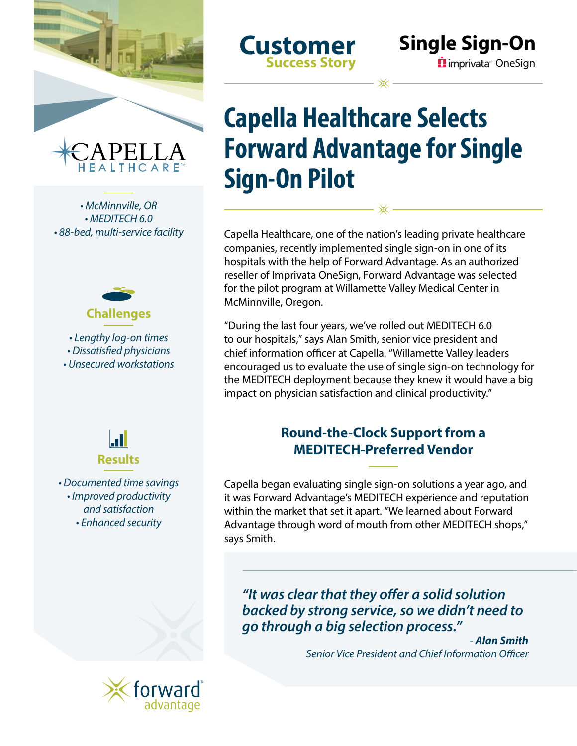

*• McMinnville, OR • MEDITECH 6.0 • 88-bed, multi-service facility*



*• Lengthy log-on times • Dissatisfied physicians • Unsecured workstations*



*• Documented time savings • Improved productivity and satisfaction • Enhanced security*

**Customer Success Story**

# **Capella Healthcare Selects Forward Advantage for Single Sign-On Pilot**

Capella Healthcare, one of the nation's leading private healthcare companies, recently implemented single sign-on in one of its hospitals with the help of Forward Advantage. As an authorized reseller of Imprivata OneSign, Forward Advantage was selected for the pilot program at Willamette Valley Medical Center in McMinnville, Oregon.

"During the last four years, we've rolled out MEDITECH 6.0 to our hospitals," says Alan Smith, senior vice president and chief information officer at Capella. "Willamette Valley leaders encouraged us to evaluate the use of single sign-on technology for the MEDITECH deployment because they knew it would have a big impact on physician satisfaction and clinical productivity."

# **Round-the-Clock Support from a MEDITECH-Preferred Vendor**

Capella began evaluating single sign-on solutions a year ago, and it was Forward Advantage's MEDITECH experience and reputation within the market that set it apart. "We learned about Forward Advantage through word of mouth from other MEDITECH shops," says Smith.

*"It was clear that they offer a solid solution backed by strong service, so we didn't need to go through a big selection process."*

> *- Alan Smith Senior Vice President and Chief Information Officer*

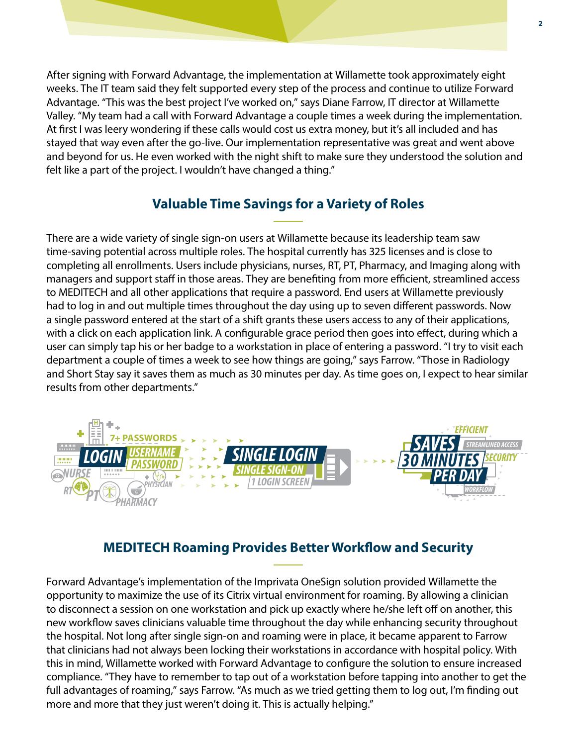After signing with Forward Advantage, the implementation at Willamette took approximately eight weeks. The IT team said they felt supported every step of the process and continue to utilize Forward Advantage. "This was the best project I've worked on," says Diane Farrow, IT director at Willamette Valley. "My team had a call with Forward Advantage a couple times a week during the implementation. At first I was leery wondering if these calls would cost us extra money, but it's all included and has stayed that way even after the go-live. Our implementation representative was great and went above and beyond for us. He even worked with the night shift to make sure they understood the solution and felt like a part of the project. I wouldn't have changed a thing."

# **Valuable Time Savings for a Variety of Roles**

There are a wide variety of single sign-on users at Willamette because its leadership team saw time-saving potential across multiple roles. The hospital currently has 325 licenses and is close to completing all enrollments. Users include physicians, nurses, RT, PT, Pharmacy, and Imaging along with managers and support staff in those areas. They are benefiting from more efficient, streamlined access to MEDITECH and all other applications that require a password. End users at Willamette previously had to log in and out multiple times throughout the day using up to seven different passwords. Now a single password entered at the start of a shift grants these users access to any of their applications, with a click on each application link. A configurable grace period then goes into effect, during which a user can simply tap his or her badge to a workstation in place of entering a password. "I try to visit each department a couple of times a week to see how things are going," says Farrow. "Those in Radiology and Short Stay say it saves them as much as 30 minutes per day. As time goes on, I expect to hear similar results from other departments."



### **MEDITECH Roaming Provides Better Workflow and Security**

Forward Advantage's implementation of the Imprivata OneSign solution provided Willamette the opportunity to maximize the use of its Citrix virtual environment for roaming. By allowing a clinician to disconnect a session on one workstation and pick up exactly where he/she left off on another, this new workflow saves clinicians valuable time throughout the day while enhancing security throughout the hospital. Not long after single sign-on and roaming were in place, it became apparent to Farrow that clinicians had not always been locking their workstations in accordance with hospital policy. With this in mind, Willamette worked with Forward Advantage to configure the solution to ensure increased compliance. "They have to remember to tap out of a workstation before tapping into another to get the full advantages of roaming," says Farrow. "As much as we tried getting them to log out, I'm finding out more and more that they just weren't doing it. This is actually helping."